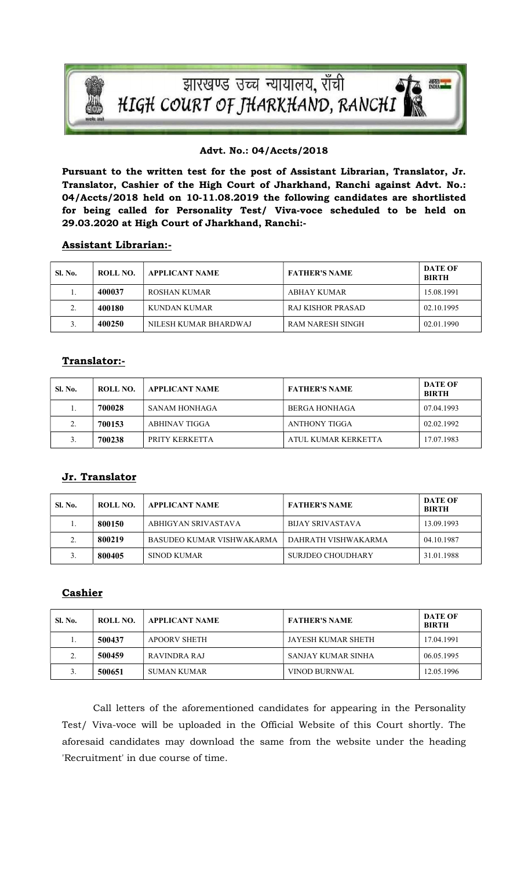

#### Advt. No.: 04/Accts/2018

Pursuant to the written test for the post of Assistant Librarian, Translator, Jr. Translator, Cashier of the High Court of Jharkhand, Ranchi against Advt. No.: 04/Accts/2018 held on 10-11.08.2019 the following candidates are shortlisted for being called for Personality Test/ Viva-voce scheduled to be held on 29.03.2020 at High Court of Jharkhand, Ranchi:-

#### Assistant Librarian:-

| Sl. No. | ROLL NO. | <b>APPLICANT NAME</b> | <b>FATHER'S NAME</b> | <b>DATE OF</b><br><b>BIRTH</b> |
|---------|----------|-----------------------|----------------------|--------------------------------|
|         | 400037   | ROSHAN KUMAR          | ABHAY KUMAR          | 15.08.1991                     |
| ◠<br>z. | 400180   | KUNDAN KUMAR          | RAJ KISHOR PRASAD    | 02.10.1995                     |
|         | 400250   | NILESH KUMAR BHARDWAJ | RAM NARESH SINGH     | 02.01.1990                     |

# Translator:-

| <b>Sl. No.</b> | ROLL NO. | <b>APPLICANT NAME</b> | <b>FATHER'S NAME</b> | <b>DATE OF</b><br><b>BIRTH</b> |
|----------------|----------|-----------------------|----------------------|--------------------------------|
| ı.             | 700028   | SANAM HONHAGA         | BERGA HONHAGA        | 07.04.1993                     |
| $\gamma$       | 700153   | ABHINAV TIGGA         | ANTHONY TIGGA        | 02.02.1992                     |
|                | 700238   | PRITY KERKETTA        | ATUL KUMAR KERKETTA  | 17.07.1983                     |

## Jr. Translator

| <b>Sl. No.</b> | ROLL NO. | <b>APPLICANT NAME</b>     | <b>FATHER'S NAME</b> | <b>DATE OF</b><br><b>BIRTH</b> |
|----------------|----------|---------------------------|----------------------|--------------------------------|
| 1.             | 800150   | ABHIGYAN SRIVASTAVA       | BIJAY SRIVASTAVA     | 13.09.1993                     |
| $\gamma$       | 800219   | BASUDEO KUMAR VISHWAKARMA | DAHRATH VISHWAKARMA  | 04.10.1987                     |
|                | 800405   | SINOD KUMAR               | SURJDEO CHOUDHARY    | 31.01.1988                     |

## **Cashier**

| <b>SL No.</b> | ROLL NO. | APPLICANT NAME      | <b>FATHER'S NAME</b> | DATE OF<br><b>BIRTH</b> |
|---------------|----------|---------------------|----------------------|-------------------------|
| .,            | 500437   | <b>APOORV SHETH</b> | JAYESH KUMAR SHETH   | 17.04.1991              |
|               | 500459   | RAVINDRA RAJ        | SANJAY KUMAR SINHA   | 06.05.1995              |
|               | 500651   | SUMAN KUMAR         | VINOD BURNWAL        | 12.05.1996              |

Call letters of the aforementioned candidates for appearing in the Personality Test/ Viva-voce will be uploaded in the Official Website of this Court shortly. The aforesaid candidates may download the same from the website under the heading 'Recruitment' in due course of time.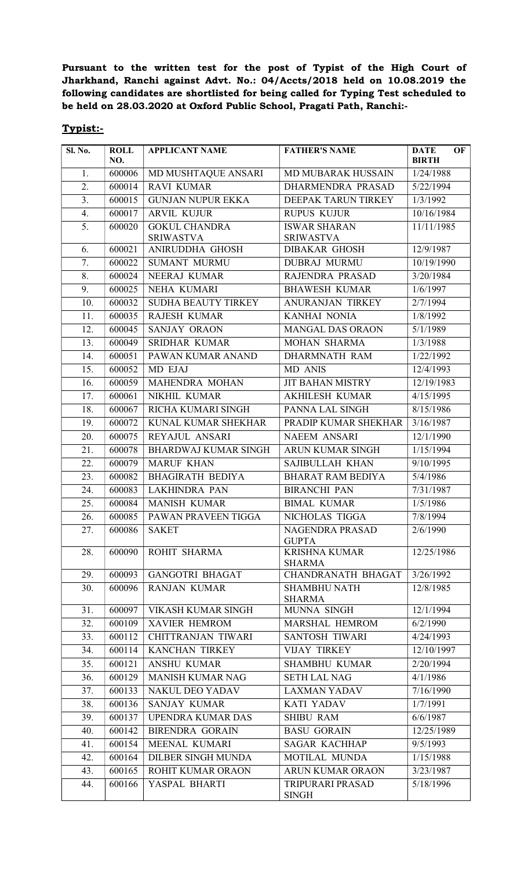Pursuant to the written test for the post of Typist of the High Court of Jharkhand, Ranchi against Advt. No.: 04/Accts/2018 held on 10.08.2019 the following candidates are shortlisted for being called for Typing Test scheduled to be held on 28.03.2020 at Oxford Public School, Pragati Path, Ranchi:-

## Typist:-

| Sl. No.          | <b>ROLL</b><br>NO.           | <b>APPLICANT NAME</b>                    | <b>FATHER'S NAME</b>                    | OF<br><b>DATE</b><br><b>BIRTH</b> |
|------------------|------------------------------|------------------------------------------|-----------------------------------------|-----------------------------------|
| 1.               | 600006                       | MD MUSHTAQUE ANSARI                      | <b>MD MUBARAK HUSSAIN</b>               | 1/24/1988                         |
| 2.               | 600014                       | <b>RAVI KUMAR</b>                        | DHARMENDRA PRASAD                       | 5/22/1994                         |
| $\overline{3}$ . | 600015                       | <b>GUNJAN NUPUR EKKA</b>                 | DEEPAK TARUN TIRKEY                     | 1/3/1992                          |
| 4.               | 600017                       | <b>ARVIL KUJUR</b>                       | <b>RUPUS KUJUR</b>                      | 10/16/1984                        |
| 5.               | 600020                       | <b>GOKUL CHANDRA</b><br><b>SRIWASTVA</b> | <b>ISWAR SHARAN</b><br><b>SRIWASTVA</b> | 11/11/1985                        |
| 6.               | 600021                       | ANIRUDDHA GHOSH                          | <b>DIBAKAR GHOSH</b>                    | 12/9/1987                         |
| 7.               | 600022                       | <b>SUMANT MURMU</b>                      | <b>DUBRAJ MURMU</b>                     | 10/19/1990                        |
| 8.               | 600024                       | NEERAJ KUMAR                             | RAJENDRA PRASAD                         | 3/20/1984                         |
| 9.               | 600025                       | NEHA KUMARI                              | <b>BHAWESH KUMAR</b>                    | 1/6/1997                          |
| 10.              | 600032                       | <b>SUDHA BEAUTY TIRKEY</b>               | <b>ANURANJAN TIRKEY</b>                 | 2/7/1994                          |
| 11.              | 600035                       | RAJESH KUMAR                             | KANHAI NONIA                            | 1/8/1992                          |
| 12.              | 600045                       | SANJAY ORAON                             | <b>MANGAL DAS ORAON</b>                 | 5/1/1989                          |
| 13.              | 600049                       | <b>SRIDHAR KUMAR</b>                     | <b>MOHAN SHARMA</b>                     | 1/3/1988                          |
| 14.              | 600051                       | PAWAN KUMAR ANAND                        | <b>DHARMNATH RAM</b>                    | 1/22/1992                         |
| 15.              | 600052                       | MD EJAJ                                  | MD ANIS                                 | 12/4/1993                         |
| 16.              | 600059                       | MAHENDRA MOHAN                           | <b>JIT BAHAN MISTRY</b>                 | 12/19/1983                        |
| 17.              | 600061                       | NIKHIL KUMAR                             | <b>AKHILESH KUMAR</b>                   | 4/15/1995                         |
| 18.              | 600067                       | RICHA KUMARI SINGH                       | PANNA LAL SINGH                         | 8/15/1986                         |
| 19.              | 600072                       | KUNAL KUMAR SHEKHAR                      | PRADIP KUMAR SHEKHAR                    | 3/16/1987                         |
| 20.              | 600075                       | REYAJUL ANSARI                           | <b>NAEEM ANSARI</b>                     | 12/1/1990                         |
| 21.              | 600078                       | <b>BHARDWAJ KUMAR SINGH</b>              | ARUN KUMAR SINGH                        | 1/15/1994                         |
| 22.              | 600079                       | <b>MARUF KHAN</b>                        | SAJIBULLAH KHAN                         | 9/10/1995                         |
| 23.              | 600082                       | <b>BHAGIRATH BEDIYA</b>                  | <b>BHARAT RAM BEDIYA</b>                | 5/4/1986                          |
| 24.              | 600083                       | <b>LAKHINDRA PAN</b>                     | <b>BIRANCHI PAN</b>                     | 7/31/1987                         |
| 25.              | 600084                       | <b>MANISH KUMAR</b>                      | <b>BIMAL KUMAR</b>                      | 1/5/1986                          |
| 26.              | 600085                       | PAWAN PRAVEEN TIGGA                      | NICHOLAS TIGGA                          | 7/8/1994                          |
| 27.              | $\vert$ 600086 $\vert$ SAKET |                                          | NAGENDRA PRASAD<br><b>GUPTA</b>         | 2/6/1990                          |
| 28.              | 600090                       | ROHIT SHARMA                             | <b>KRISHNA KUMAR</b><br><b>SHARMA</b>   | 12/25/1986                        |
| 29.              | 600093                       | <b>GANGOTRI BHAGAT</b>                   | <b>CHANDRANATH BHAGAT</b>               | 3/26/1992                         |
| 30.              | 600096                       | <b>RANJAN KUMAR</b>                      | <b>SHAMBHU NATH</b><br><b>SHARMA</b>    | 12/8/1985                         |
| 31.              | 600097                       | <b>VIKASH KUMAR SINGH</b>                | MUNNA SINGH                             | 12/1/1994                         |
| 32.              | 600109                       | <b>XAVIER HEMROM</b>                     | MARSHAL HEMROM                          | 6/2/1990                          |
| 33.              | 600112                       | CHITTRANJAN TIWARI                       | <b>SANTOSH TIWARI</b>                   | 4/24/1993                         |
| 34.              | 600114                       | <b>KANCHAN TIRKEY</b>                    | <b>VIJAY TIRKEY</b>                     | 12/10/1997                        |
| 35.              | 600121                       | <b>ANSHU KUMAR</b>                       | <b>SHAMBHU KUMAR</b>                    | 2/20/1994                         |
| 36.              | 600129                       | <b>MANISH KUMAR NAG</b>                  | <b>SETH LAL NAG</b>                     | 4/1/1986                          |
| 37.              | 600133                       | <b>NAKUL DEO YADAV</b>                   | <b>LAXMAN YADAV</b>                     | 7/16/1990                         |
| 38.              | 600136                       | <b>SANJAY KUMAR</b>                      | <b>KATI YADAV</b>                       | 1/7/1991                          |
| 39.              | 600137                       | <b>UPENDRA KUMAR DAS</b>                 | <b>SHIBU RAM</b>                        | 6/6/1987                          |
| 40.              | 600142                       | <b>BIRENDRA GORAIN</b>                   | <b>BASU GORAIN</b>                      | 12/25/1989                        |
| 41.              | 600154                       | MEENAL KUMARI                            | <b>SAGAR KACHHAP</b>                    | 9/5/1993                          |
| 42.              | 600164                       | <b>DILBER SINGH MUNDA</b>                | MOTILAL MUNDA                           | 1/15/1988                         |
| 43.              | 600165                       | ROHIT KUMAR ORAON                        | ARUN KUMAR ORAON                        | 3/23/1987                         |
| 44.              | 600166                       | YASPAL BHARTI                            | TRIPURARI PRASAD<br><b>SINGH</b>        | 5/18/1996                         |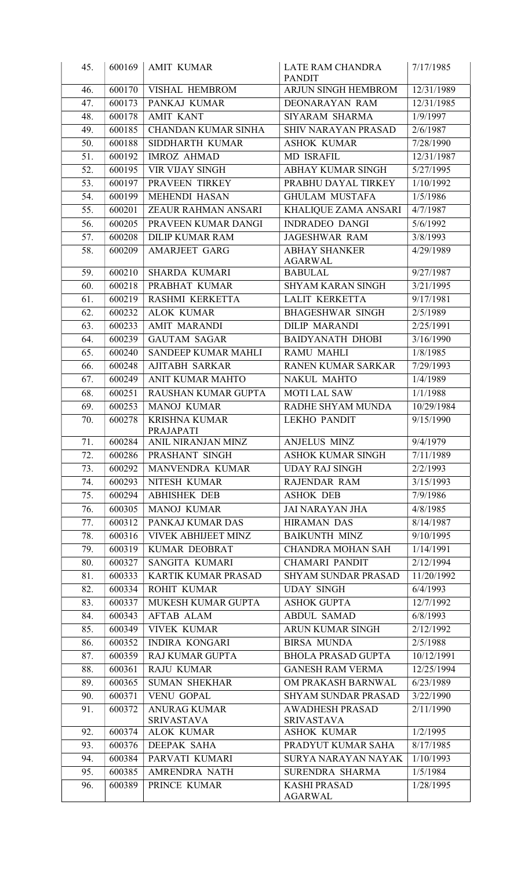| 45.        | 600169           | <b>AMIT KUMAR</b>                           | LATE RAM CHANDRA<br><b>PANDIT</b>                    | 7/17/1985                |
|------------|------------------|---------------------------------------------|------------------------------------------------------|--------------------------|
| 46.        | 600170           | VISHAL HEMBROM                              | ARJUN SINGH HEMBROM                                  | 12/31/1989               |
| 47.        | 600173           | PANKAJ KUMAR                                | DEONARAYAN RAM                                       | 12/31/1985               |
| 48.        | 600178           | <b>AMIT KANT</b>                            | SIYARAM SHARMA                                       | 1/9/1997                 |
| 49.        | 600185           | <b>CHANDAN KUMAR SINHA</b>                  | <b>SHIV NARAYAN PRASAD</b>                           | 2/6/1987                 |
| 50.        | 600188           | SIDDHARTH KUMAR                             | <b>ASHOK KUMAR</b>                                   | 7/28/1990                |
| 51.        | 600192           | <b>IMROZ AHMAD</b>                          | <b>MD ISRAFIL</b>                                    | 12/31/1987               |
| 52.        | 600195           | <b>VIR VIJAY SINGH</b>                      | ABHAY KUMAR SINGH                                    | 5/27/1995                |
| 53.        | 600197           | PRAVEEN TIRKEY                              | PRABHU DAYAL TIRKEY                                  | 1/10/1992                |
| 54.        | 600199           | MEHENDI HASAN                               | <b>GHULAM MUSTAFA</b>                                | 1/5/1986                 |
| 55.        | 600201           | ZEAUR RAHMAN ANSARI                         | KHALIQUE ZAMA ANSARI                                 | 4/7/1987                 |
| 56.        | 600205           | PRAVEEN KUMAR DANGI                         | <b>INDRADEO DANGI</b>                                | 5/6/1992                 |
| 57.        | 600208           | <b>DILIP KUMAR RAM</b>                      | <b>JAGESHWAR RAM</b>                                 | 3/8/1993                 |
| 58.        | 600209           | AMARJEET GARG                               | <b>ABHAY SHANKER</b>                                 | 4/29/1989                |
|            |                  |                                             | <b>AGARWAL</b>                                       |                          |
| 59.        | 600210           | <b>SHARDA KUMARI</b>                        | <b>BABULAL</b>                                       | 9/27/1987                |
| 60.        | 600218           | PRABHAT KUMAR                               | <b>SHYAM KARAN SINGH</b>                             | 3/21/1995                |
| 61.        | 600219           | RASHMI KERKETTA                             | <b>LALIT KERKETTA</b>                                | 9/17/1981                |
| 62.        | 600232           | <b>ALOK KUMAR</b>                           | <b>BHAGESHWAR SINGH</b>                              | 2/5/1989                 |
| 63.        | 600233           | <b>AMIT MARANDI</b>                         | <b>DILIP MARANDI</b>                                 | 2/25/1991                |
| 64.        | 600239           | <b>GAUTAM SAGAR</b>                         | <b>BAIDYANATH DHOBI</b>                              | 3/16/1990                |
| 65.        | 600240           | SANDEEP KUMAR MAHLI                         | <b>RAMU MAHLI</b>                                    | 1/8/1985                 |
| 66.        | 600248           | AJITABH SARKAR                              | RANEN KUMAR SARKAR                                   | 7/29/1993                |
| 67.        | 600249           | ANIT KUMAR MAHTO                            | NAKUL MAHTO                                          | 1/4/1989                 |
| 68.        | 600251           | RAUSHAN KUMAR GUPTA                         | <b>MOTI LAL SAW</b>                                  | 1/1/1988                 |
| 69.        | 600253           | <b>MANOJ KUMAR</b>                          | RADHE SHYAM MUNDA                                    | 10/29/1984               |
| 70.        | 600278           | <b>KRISHNA KUMAR</b><br>PRAJAPATI           | <b>LEKHO PANDIT</b>                                  | 9/15/1990                |
| 71.        | 600284           | ANIL NIRANJAN MINZ                          | <b>ANJELUS MINZ</b>                                  | 9/4/1979                 |
| 72.        | 600286           | PRASHANT SINGH                              | <b>ASHOK KUMAR SINGH</b>                             | 7/11/1989                |
| 73.        | 600292           | MANVENDRA KUMAR                             | <b>UDAY RAJ SINGH</b>                                | 2/2/1993                 |
| 74.        | 600293           | NITESH KUMAR                                | RAJENDAR RAM                                         | 3/15/1993                |
| 75.        | 600294           | <b>ABHISHEK DEB</b>                         | <b>ASHOK DEB</b>                                     | 7/9/1986                 |
| 76.        | 600305           | <b>MANOJ KUMAR</b>                          | <b>JAI NARAYAN JHA</b>                               | 4/8/1985                 |
| 77.        | 600312           | PANKAJ KUMAR DAS                            | <b>HIRAMAN DAS</b>                                   | 8/14/1987                |
| 78.        | 600316           | VIVEK ABHIJEET MINZ                         | <b>BAIKUNTH MINZ</b>                                 | 9/10/1995                |
| 79.        | 600319           | KUMAR DEOBRAT                               | <b>CHANDRA MOHAN SAH</b>                             | 1/14/1991                |
| 80.        | 600327           | SANGITA KUMARI                              | <b>CHAMARI PANDIT</b>                                | 2/12/1994                |
| 81.        | 600333           | <b>KARTIK KUMAR PRASAD</b>                  | <b>SHYAM SUNDAR PRASAD</b>                           | 11/20/1992               |
| 82.        | 600334           | <b>ROHIT KUMAR</b>                          | <b>UDAY SINGH</b>                                    | 6/4/1993                 |
| 83.        | 600337           | MUKESH KUMAR GUPTA                          | <b>ASHOK GUPTA</b>                                   | 12/7/1992                |
| 84.        | 600343           | <b>AFTAB ALAM</b>                           | <b>ABDUL SAMAD</b>                                   | 6/8/1993                 |
| 85.        | 600349           | <b>VIVEK KUMAR</b>                          | <b>ARUN KUMAR SINGH</b>                              | 2/12/1992                |
| 86.        | 600352           | <b>INDIRA KONGARI</b>                       | <b>BIRSA MUNDA</b>                                   | 2/5/1988                 |
| 87.<br>88. | 600359<br>600361 | <b>RAJ KUMAR GUPTA</b><br><b>RAJU KUMAR</b> | <b>BHOLA PRASAD GUPTA</b><br><b>GANESH RAM VERMA</b> | 10/12/1991<br>12/25/1994 |
|            |                  |                                             |                                                      |                          |
| 89.<br>90. | 600365<br>600371 | <b>SUMAN SHEKHAR</b><br><b>VENU GOPAL</b>   | OM PRAKASH BARNWAL<br><b>SHYAM SUNDAR PRASAD</b>     | 6/23/1989<br>3/22/1990   |
| 91.        | 600372           | <b>ANURAG KUMAR</b>                         | <b>AWADHESH PRASAD</b>                               | 2/11/1990                |
|            |                  | <b>SRIVASTAVA</b>                           | <b>SRIVASTAVA</b>                                    |                          |
| 92.        | 600374           | <b>ALOK KUMAR</b>                           | <b>ASHOK KUMAR</b>                                   | 1/2/1995                 |
| 93.        | 600376           | DEEPAK SAHA                                 | PRADYUT KUMAR SAHA                                   | 8/17/1985                |
| 94.        | 600384           | PARVATI KUMARI                              | SURYA NARAYAN NAYAK                                  | 1/10/1993                |
| 95.        | 600385           | AMRENDRA NATH                               | SURENDRA SHARMA                                      | 1/5/1984                 |
| 96.        | 600389           | PRINCE KUMAR                                | <b>KASHI PRASAD</b><br><b>AGARWAL</b>                | 1/28/1995                |
|            |                  |                                             |                                                      |                          |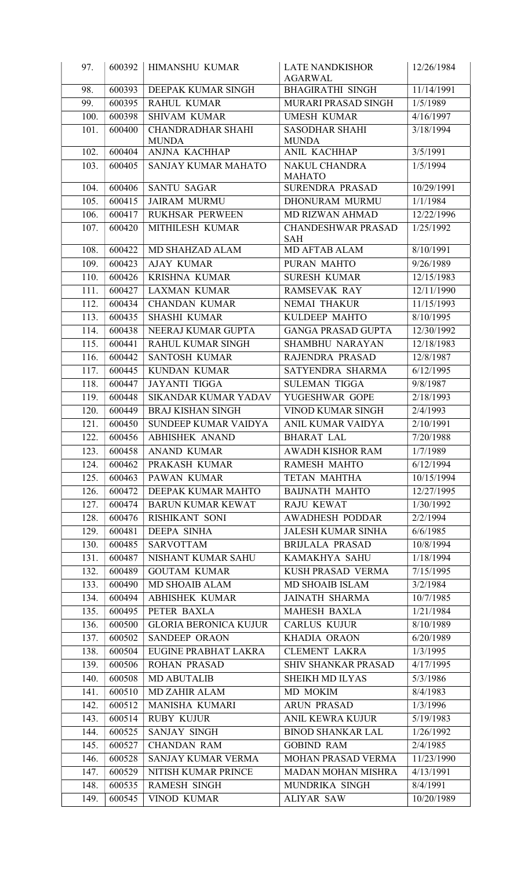| 97.                | 600392 | <b>HIMANSHU KUMAR</b>        | <b>LATE NANDKISHOR</b>                    | 12/26/1984 |
|--------------------|--------|------------------------------|-------------------------------------------|------------|
| 98.                | 600393 | DEEPAK KUMAR SINGH           | <b>AGARWAL</b><br><b>BHAGIRATHI SINGH</b> | 11/14/1991 |
| 99.                | 600395 | <b>RAHUL KUMAR</b>           | MURARI PRASAD SINGH                       | 1/5/1989   |
| 100.               | 600398 | <b>SHIVAM KUMAR</b>          | <b>UMESH KUMAR</b>                        | 4/16/1997  |
| 101.               | 600400 | <b>CHANDRADHAR SHAHI</b>     | <b>SASODHAR SHAHI</b>                     | 3/18/1994  |
|                    |        | <b>MUNDA</b>                 | <b>MUNDA</b>                              |            |
| 102.               | 600404 | ANJNA KACHHAP                | ANIL KACHHAP                              | 3/5/1991   |
| 103.               | 600405 | SANJAY KUMAR MAHATO          | <b>NAKUL CHANDRA</b>                      | 1/5/1994   |
|                    |        |                              | <b>MAHATO</b>                             |            |
| 104.               | 600406 | <b>SANTU SAGAR</b>           | <b>SURENDRA PRASAD</b>                    | 10/29/1991 |
| 105.               | 600415 | <b>JAIRAM MURMU</b>          | DHONURAM MURMU                            | 1/1/1984   |
| 106.               | 600417 | <b>RUKHSAR PERWEEN</b>       | MD RIZWAN AHMAD                           | 12/22/1996 |
| 107.               | 600420 | MITHILESH KUMAR              | <b>CHANDESHWAR PRASAD</b><br><b>SAH</b>   | 1/25/1992  |
| 108.               | 600422 | MD SHAHZAD ALAM              | MD AFTAB ALAM                             | 8/10/1991  |
| 109.               | 600423 | <b>AJAY KUMAR</b>            | PURAN MAHTO                               | 9/26/1989  |
| 110.               | 600426 | <b>KRISHNA KUMAR</b>         | <b>SURESH KUMAR</b>                       | 12/15/1983 |
| 111.               | 600427 | <b>LAXMAN KUMAR</b>          | <b>RAMSEVAK RAY</b>                       | 12/11/1990 |
| 112.               | 600434 | <b>CHANDAN KUMAR</b>         | <b>NEMAI THAKUR</b>                       | 11/15/1993 |
| 113.               | 600435 | <b>SHASHI KUMAR</b>          | KULDEEP MAHTO                             | 8/10/1995  |
| 114.               | 600438 | NEERAJ KUMAR GUPTA           | <b>GANGA PRASAD GUPTA</b>                 | 12/30/1992 |
| 115.               | 600441 | RAHUL KUMAR SINGH            | <b>SHAMBHU NARAYAN</b>                    | 12/18/1983 |
| 116.               | 600442 | <b>SANTOSH KUMAR</b>         | RAJENDRA PRASAD                           | 12/8/1987  |
| 117.               | 600445 | <b>KUNDAN KUMAR</b>          | SATYENDRA SHARMA                          | 6/12/1995  |
| 118.               | 600447 | <b>JAYANTI TIGGA</b>         | <b>SULEMAN TIGGA</b>                      | 9/8/1987   |
| 119.               | 600448 | <b>SIKANDAR KUMAR YADAV</b>  | YUGESHWAR GOPE                            | 2/18/1993  |
| 120.               | 600449 | <b>BRAJ KISHAN SINGH</b>     | VINOD KUMAR SINGH                         | 2/4/1993   |
| 121.               | 600450 | SUNDEEP KUMAR VAIDYA         | ANIL KUMAR VAIDYA                         | 2/10/1991  |
| 122.               | 600456 | <b>ABHISHEK ANAND</b>        | <b>BHARAT LAL</b>                         | 7/20/1988  |
| $\overline{123}$ . | 600458 | <b>ANAND KUMAR</b>           | <b>AWADH KISHOR RAM</b>                   | 1/7/1989   |
| 124.               | 600462 | PRAKASH KUMAR                | <b>RAMESH MAHTO</b>                       | 6/12/1994  |
| 125.               | 600463 | PAWAN KUMAR                  | <b>TETAN MAHTHA</b>                       | 10/15/1994 |
| 126.               | 600472 | DEEPAK KUMAR MAHTO           | <b>BAIJNATH MAHTO</b>                     | 12/27/1995 |
| 127.               | 600474 | <b>BARUN KUMAR KEWAT</b>     | <b>RAJU KEWAT</b>                         | 1/30/1992  |
| 128.               | 600476 | RISHIKANT SONI               | <b>AWADHESH PODDAR</b>                    | 2/2/1994   |
| 129.               | 600481 | <b>DEEPA SINHA</b>           | <b>JALESH KUMAR SINHA</b>                 | 6/6/1985   |
| 130.               | 600485 | <b>SARVOTTAM</b>             | <b>BRIJLALA PRASAD</b>                    | 10/8/1994  |
| 131.               | 600487 | NISHANT KUMAR SAHU           | KAMAKHYA SAHU                             | 1/18/1994  |
| 132.               | 600489 | <b>GOUTAM KUMAR</b>          | KUSH PRASAD VERMA                         | 7/15/1995  |
| 133.               | 600490 | <b>MD SHOAIB ALAM</b>        | <b>MD SHOAIB ISLAM</b>                    | 3/2/1984   |
| 134.               | 600494 | <b>ABHISHEK KUMAR</b>        | <b>JAINATH SHARMA</b>                     | 10/7/1985  |
| 135.               | 600495 | PETER BAXLA                  | <b>MAHESH BAXLA</b>                       | 1/21/1984  |
| 136.               | 600500 | <b>GLORIA BERONICA KUJUR</b> | <b>CARLUS KUJUR</b>                       | 8/10/1989  |
| 137.               | 600502 | <b>SANDEEP ORAON</b>         | KHADIA ORAON                              | 6/20/1989  |
| 138.               | 600504 | EUGINE PRABHAT LAKRA         | <b>CLEMENT LAKRA</b>                      | 1/3/1995   |
| 139.               | 600506 | <b>ROHAN PRASAD</b>          | SHIV SHANKAR PRASAD                       | 4/17/1995  |
| 140.               | 600508 | <b>MD ABUTALIB</b>           | SHEIKH MD ILYAS                           | 5/3/1986   |
| 141.               | 600510 | <b>MD ZAHIR ALAM</b>         | MD MOKIM                                  | 8/4/1983   |
| 142.               | 600512 | MANISHA KUMARI               | <b>ARUN PRASAD</b>                        | 1/3/1996   |
| 143.               | 600514 | <b>RUBY KUJUR</b>            | <b>ANIL KEWRA KUJUR</b>                   | 5/19/1983  |
| 144.               | 600525 | SANJAY SINGH                 | <b>BINOD SHANKAR LAL</b>                  | 1/26/1992  |
| 145.               | 600527 | <b>CHANDAN RAM</b>           | <b>GOBIND RAM</b>                         | 2/4/1985   |
| 146.               | 600528 | SANJAY KUMAR VERMA           | MOHAN PRASAD VERMA                        | 11/23/1990 |
| 147.               | 600529 | NITISH KUMAR PRINCE          | <b>MADAN MOHAN MISHRA</b>                 | 4/13/1991  |
| 148.               | 600535 | <b>RAMESH SINGH</b>          | MUNDRIKA SINGH                            | 8/4/1991   |
| 149.               | 600545 | <b>VINOD KUMAR</b>           | <b>ALIYAR SAW</b>                         | 10/20/1989 |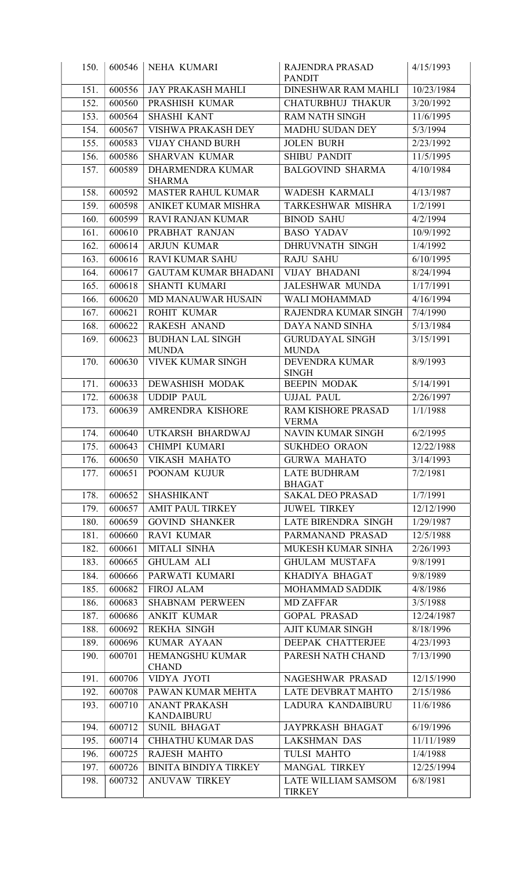| 150.         | 600546           | <b>NEHA KUMARI</b>                           | RAJENDRA PRASAD<br><b>PANDIT</b>              | 4/15/1993               |
|--------------|------------------|----------------------------------------------|-----------------------------------------------|-------------------------|
| 151.         | 600556           | <b>JAY PRAKASH MAHLI</b>                     | <b>DINESHWAR RAM MAHLI</b>                    | 10/23/1984              |
| 152.         | 600560           | PRASHISH KUMAR                               | <b>CHATURBHUJ THAKUR</b>                      | 3/20/1992               |
| 153.         | 600564           | <b>SHASHI KANT</b>                           | <b>RAM NATH SINGH</b>                         | 11/6/1995               |
| 154.         | 600567           | VISHWA PRAKASH DEY                           | <b>MADHU SUDAN DEY</b>                        | 5/3/1994                |
| 155.         | 600583           | <b>VIJAY CHAND BURH</b>                      | <b>JOLEN BURH</b>                             | 2/23/1992               |
| 156.         | 600586           | <b>SHARVAN KUMAR</b>                         | <b>SHIBU PANDIT</b>                           | 11/5/1995               |
| 157.         | 600589           | DHARMENDRA KUMAR<br><b>SHARMA</b>            | <b>BALGOVIND SHARMA</b>                       | 4/10/1984               |
| 158.         | 600592           | MASTER RAHUL KUMAR                           | WADESH KARMALI                                | 4/13/1987               |
| 159.         | 600598           | ANIKET KUMAR MISHRA                          | TARKESHWAR MISHRA                             | 1/2/1991                |
| 160.         | 600599           | <b>RAVI RANJAN KUMAR</b>                     | <b>BINOD SAHU</b>                             | 4/2/1994                |
| 161.         | 600610           | PRABHAT RANJAN                               | <b>BASO YADAV</b>                             | 10/9/1992               |
| 162.         | 600614           | <b>ARJUN KUMAR</b>                           | DHRUVNATH SINGH                               | 1/4/1992                |
| 163.         | 600616           | <b>RAVI KUMAR SAHU</b>                       | <b>RAJU SAHU</b>                              | 6/10/1995               |
| 164.         | 600617           | <b>GAUTAM KUMAR BHADANI</b>                  | <b>VIJAY BHADANI</b>                          | 8/24/1994               |
| 165.         | 600618           | <b>SHANTI KUMARI</b>                         | <b>JALESHWAR MUNDA</b>                        | 1/17/1991               |
| 166.         | 600620           | MD MANAUWAR HUSAIN                           | WALI MOHAMMAD                                 | 4/16/1994               |
| 167.         | 600621           | ROHIT KUMAR                                  | RAJENDRA KUMAR SINGH                          | 7/4/1990                |
| 168.         | 600622           | <b>RAKESH ANAND</b>                          | DAYA NAND SINHA                               | 5/13/1984               |
| 169.         | 600623           | <b>BUDHAN LAL SINGH</b><br><b>MUNDA</b>      | <b>GURUDAYAL SINGH</b><br><b>MUNDA</b>        | 3/15/1991               |
| 170.         | 600630           | <b>VIVEK KUMAR SINGH</b>                     | DEVENDRA KUMAR<br><b>SINGH</b>                | 8/9/1993                |
| 171.         | 600633           | <b>DEWASHISH MODAK</b>                       | <b>BEEPIN MODAK</b>                           | 5/14/1991               |
| 172.         | 600638           | <b>UDDIP PAUL</b>                            | <b>UJJAL PAUL</b>                             | 2/26/1997               |
| 173.         | 600639           | AMRENDRA KISHORE                             | RAM KISHORE PRASAD<br><b>VERMA</b>            | 1/1/1988                |
| 174.         | 600640           | UTKARSH BHARDWAJ                             | <b>NAVIN KUMAR SINGH</b>                      | 6/2/1995                |
| 175.         |                  | 600643   CHIMPI KUMARI                       | SUKHDEO ORAON                                 | 12/22/1988              |
| 176.         | 600650           | <b>VIKASH MAHATO</b>                         | <b>GURWA MAHATO</b>                           | 3/14/1993               |
| 177.         | 600651           | POONAM KUJUR                                 | <b>LATE BUDHRAM</b><br><b>BHAGAT</b>          | 7/2/1981                |
| 178.         | 600652           | <b>SHASHIKANT</b>                            | <b>SAKAL DEO PRASAD</b>                       | 1/7/1991                |
| 179.         | 600657           | <b>AMIT PAUL TIRKEY</b>                      | <b>JUWEL TIRKEY</b>                           | 12/12/1990              |
| 180.         | 600659           | <b>GOVIND SHANKER</b>                        | <b>LATE BIRENDRA SINGH</b>                    | 1/29/1987               |
| 181.         | 600660           | <b>RAVI KUMAR</b>                            | PARMANAND PRASAD                              | 12/5/1988               |
| 182.         | 600661           | MITALI SINHA                                 | MUKESH KUMAR SINHA                            | 2/26/1993               |
| 183.         | 600665           | <b>GHULAM ALI</b>                            | <b>GHULAM MUSTAFA</b>                         | 9/8/1991                |
| 184.         | 600666           | PARWATI KUMARI                               | KHADIYA BHAGAT                                | 9/8/1989                |
| 185.         | 600682           | <b>FIROJ ALAM</b>                            | MOHAMMAD SADDIK                               | 4/8/1986                |
| 186.         | 600683           | <b>SHABNAM PERWEEN</b><br><b>ANKIT KUMAR</b> | <b>MD ZAFFAR</b><br><b>GOPAL PRASAD</b>       | 3/5/1988                |
| 187.<br>188. | 600686<br>600692 | <b>REKHA SINGH</b>                           | <b>AJIT KUMAR SINGH</b>                       | 12/24/1987<br>8/18/1996 |
| 189.         | 600696           | <b>KUMAR AYAAN</b>                           | DEEPAK CHATTERJEE                             | 4/23/1993               |
| 190.         | 600701           | HEMANGSHU KUMAR                              | PARESH NATH CHAND                             | 7/13/1990               |
|              |                  | <b>CHAND</b>                                 |                                               |                         |
| 191.<br>192. | 600706<br>600708 | VIDYA JYOTI<br>PAWAN KUMAR MEHTA             | NAGESHWAR PRASAD<br><b>LATE DEVBRAT MAHTO</b> | 12/15/1990<br>2/15/1986 |
| 193.         | 600710           | <b>ANANT PRAKASH</b>                         | LADURA KANDAIBURU                             | 11/6/1986               |
| 194.         | 600712           | <b>KANDAIBURU</b><br><b>SUNIL BHAGAT</b>     | <b>JAYPRKASH BHAGAT</b>                       | 6/19/1996               |
| 195.         | 600714           | <b>CHHATHU KUMAR DAS</b>                     | <b>LAKSHMAN DAS</b>                           | 11/11/1989              |
| 196.         | 600725           | <b>RAJESH MAHTO</b>                          | <b>TULSI MAHTO</b>                            | 1/4/1988                |
| 197.         | 600726           | <b>BINITA BINDIYA TIRKEY</b>                 | MANGAL TIRKEY                                 | 12/25/1994              |
| 198.         | 600732           | <b>ANUVAW TIRKEY</b>                         | LATE WILLIAM SAMSOM                           | 6/8/1981                |
|              |                  |                                              | <b>TIRKEY</b>                                 |                         |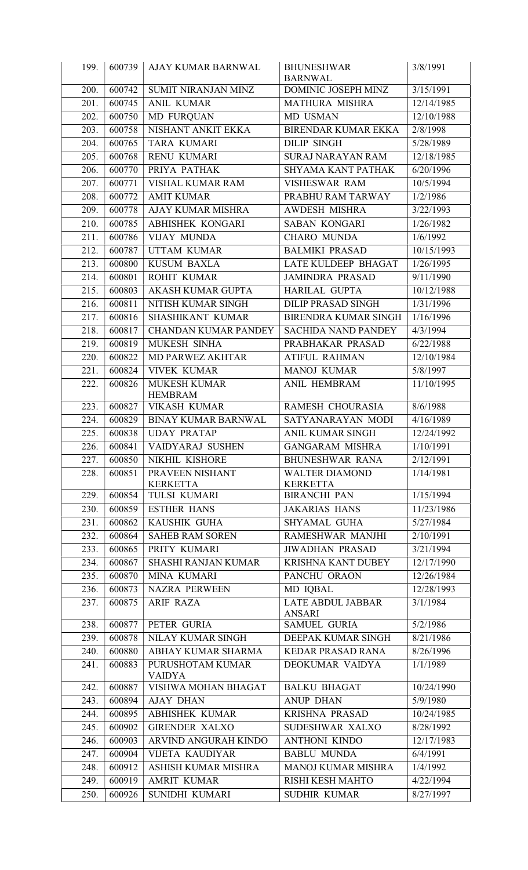| 199. | 600739 | AJAY KUMAR BARNWAL                    | <b>BHUNESHWAR</b>                         | 3/8/1991   |
|------|--------|---------------------------------------|-------------------------------------------|------------|
|      |        |                                       | <b>BARNWAL</b>                            |            |
| 200. | 600742 | SUMIT NIRANJAN MINZ                   | DOMINIC JOSEPH MINZ                       | 3/15/1991  |
| 201. | 600745 | <b>ANIL KUMAR</b>                     | <b>MATHURA MISHRA</b>                     | 12/14/1985 |
| 202. | 600750 | <b>MD FURQUAN</b>                     | MD USMAN                                  | 12/10/1988 |
| 203. | 600758 | NISHANT ANKIT EKKA                    | <b>BIRENDAR KUMAR EKKA</b>                | 2/8/1998   |
| 204. | 600765 | <b>TARA KUMARI</b>                    | <b>DILIP SINGH</b>                        | 5/28/1989  |
| 205. | 600768 | <b>RENU KUMARI</b>                    | <b>SURAJ NARAYAN RAM</b>                  | 12/18/1985 |
| 206. | 600770 | PRIYA PATHAK                          | <b>SHYAMA KANT PATHAK</b>                 | 6/20/1996  |
| 207. | 600771 | VISHAL KUMAR RAM                      | VISHESWAR RAM                             | 10/5/1994  |
| 208. | 600772 | <b>AMIT KUMAR</b>                     | PRABHU RAM TARWAY                         | 1/2/1986   |
| 209. | 600778 | <b>AJAY KUMAR MISHRA</b>              | <b>AWDESH MISHRA</b>                      | 3/22/1993  |
| 210. | 600785 | ABHISHEK KONGARI                      | <b>SABAN KONGARI</b>                      | 1/26/1982  |
| 211. | 600786 | VIJAY MUNDA                           | <b>CHARO MUNDA</b>                        | 1/6/1992   |
| 212. | 600787 | <b>UTTAM KUMAR</b>                    | <b>BALMIKI PRASAD</b>                     | 10/15/1993 |
| 213. | 600800 | <b>KUSUM BAXLA</b>                    | LATE KULDEEP BHAGAT                       | 1/26/1995  |
| 214. | 600801 | ROHIT KUMAR                           | <b>JAMINDRA PRASAD</b>                    | 9/11/1990  |
| 215. | 600803 | <b>AKASH KUMAR GUPTA</b>              | <b>HARILAL GUPTA</b>                      | 10/12/1988 |
| 216. | 600811 | NITISH KUMAR SINGH                    | <b>DILIP PRASAD SINGH</b>                 | 1/31/1996  |
| 217. | 600816 | SHASHIKANT KUMAR                      | <b>BIRENDRA KUMAR SINGH</b>               | 1/16/1996  |
| 218. | 600817 | <b>CHANDAN KUMAR PANDEY</b>           | <b>SACHIDA NAND PANDEY</b>                | 4/3/1994   |
| 219. | 600819 | MUKESH SINHA                          | PRABHAKAR PRASAD                          | 6/22/1988  |
| 220. | 600822 | MD PARWEZ AKHTAR                      | <b>ATIFUL RAHMAN</b>                      | 12/10/1984 |
| 221. | 600824 | <b>VIVEK KUMAR</b>                    | <b>MANOJ KUMAR</b>                        | 5/8/1997   |
| 222. | 600826 | <b>MUKESH KUMAR</b><br><b>HEMBRAM</b> | ANIL HEMBRAM                              | 11/10/1995 |
| 223. | 600827 | <b>VIKASH KUMAR</b>                   | RAMESH CHOURASIA                          | 8/6/1988   |
| 224. | 600829 | <b>BINAY KUMAR BARNWAL</b>            | SATYANARAYAN MODI                         | 4/16/1989  |
| 225. | 600838 | <b>UDAY PRATAP</b>                    | <b>ANIL KUMAR SINGH</b>                   | 12/24/1992 |
| 226. | 600841 | VAIDYARAJ SUSHEN                      | <b>GANGARAM MISHRA</b>                    | 1/10/1991  |
| 227. | 600850 | NIKHIL KISHORE                        | <b>BHUNESHWAR RANA</b>                    | 2/12/1991  |
| 228. | 600851 | PRAVEEN NISHANT                       | <b>WALTER DIAMOND</b>                     | 1/14/1981  |
|      |        | <b>KERKETTA</b>                       | <b>KERKETTA</b>                           |            |
| 229. | 600854 | <b>TULSI KUMARI</b>                   | <b>BIRANCHI PAN</b>                       | 1/15/1994  |
| 230. | 600859 | <b>ESTHER HANS</b>                    | <b>JAKARIAS HANS</b>                      | 11/23/1986 |
| 231. | 600862 | KAUSHIK GUHA                          | SHYAMAL GUHA                              | 5/27/1984  |
| 232. | 600864 | <b>SAHEB RAM SOREN</b>                | RAMESHWAR MANJHI                          | 2/10/1991  |
| 233. | 600865 | PRITY KUMARI                          | <b>JIWADHAN PRASAD</b>                    | 3/21/1994  |
| 234. | 600867 | <b>SHASHI RANJAN KUMAR</b>            | <b>KRISHNA KANT DUBEY</b>                 | 12/17/1990 |
| 235. | 600870 | MINA KUMARI                           | PANCHU ORAON                              | 12/26/1984 |
| 236. | 600873 | <b>NAZRA PERWEEN</b>                  | MD IQBAL                                  | 12/28/1993 |
| 237. | 600875 | <b>ARIF RAZA</b>                      | <b>LATE ABDUL JABBAR</b><br><b>ANSARI</b> | 3/1/1984   |
| 238. | 600877 | PETER GURIA                           | <b>SAMUEL GURIA</b>                       | 5/2/1986   |
| 239. | 600878 | NILAY KUMAR SINGH                     | DEEPAK KUMAR SINGH                        | 8/21/1986  |
| 240. | 600880 | ABHAY KUMAR SHARMA                    | <b>KEDAR PRASAD RANA</b>                  | 8/26/1996  |
| 241. | 600883 | PURUSHOTAM KUMAR<br><b>VAIDYA</b>     | DEOKUMAR VAIDYA                           | 1/1/1989   |
| 242. | 600887 | VISHWA MOHAN BHAGAT                   | <b>BALKU BHAGAT</b>                       | 10/24/1990 |
| 243. | 600894 | <b>AJAY DHAN</b>                      | <b>ANUP DHAN</b>                          | 5/9/1980   |
| 244. | 600895 | <b>ABHISHEK KUMAR</b>                 | <b>KRISHNA PRASAD</b>                     | 10/24/1985 |
| 245. | 600902 | <b>GIRENDER XALXO</b>                 | SUDESHWAR XALXO                           | 8/28/1992  |
| 246. | 600903 | ARVIND ANGURAH KINDO                  | <b>ANTHONI KINDO</b>                      | 12/17/1983 |
| 247. | 600904 | <b>VIJETA KAUDIYAR</b>                | <b>BABLU MUNDA</b>                        | 6/4/1991   |
| 248. | 600912 | ASHISH KUMAR MISHRA                   | <b>MANOJ KUMAR MISHRA</b>                 | 1/4/1992   |
| 249. | 600919 | <b>AMRIT KUMAR</b>                    | RISHI KESH MAHTO                          | 4/22/1994  |
| 250. | 600926 | SUNIDHI KUMARI                        | SUDHIR KUMAR                              | 8/27/1997  |